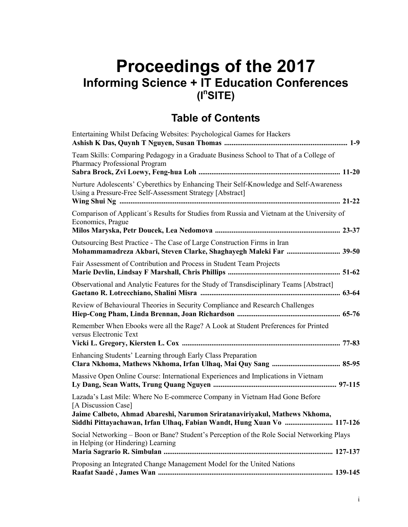## **Proceedings of the 2017 Informing Science + IT Education Conferences (In SITE)**

## **Table of Contents**

| Entertaining Whilst Defacing Websites: Psychological Games for Hackers                                                                                                                                                                                    |
|-----------------------------------------------------------------------------------------------------------------------------------------------------------------------------------------------------------------------------------------------------------|
| Team Skills: Comparing Pedagogy in a Graduate Business School to That of a College of<br>Pharmacy Professional Program                                                                                                                                    |
| Nurture Adolescents' Cyberethics by Enhancing Their Self-Knowledge and Self-Awareness<br>Using a Pressure-Free Self-Assessment Strategy [Abstract]                                                                                                        |
| Comparison of Applicant's Results for Studies from Russia and Vietnam at the University of<br>Economics, Prague                                                                                                                                           |
| Outsourcing Best Practice - The Case of Large Construction Firms in Iran<br>Mohammamadreza Akbari, Steven Clarke, Shaghayegh Maleki Far  39-50                                                                                                            |
| Fair Assessment of Contribution and Process in Student Team Projects                                                                                                                                                                                      |
| Observational and Analytic Features for the Study of Transdisciplinary Teams [Abstract]                                                                                                                                                                   |
| Review of Behavioural Theories in Security Compliance and Research Challenges                                                                                                                                                                             |
| Remember When Ebooks were all the Rage? A Look at Student Preferences for Printed<br>versus Electronic Text                                                                                                                                               |
| Enhancing Students' Learning through Early Class Preparation                                                                                                                                                                                              |
| Massive Open Online Course: International Experiences and Implications in Vietnam                                                                                                                                                                         |
| Lazada's Last Mile: Where No E-commerce Company in Vietnam Had Gone Before<br>[A Discussion Case]<br>Jaime Calbeto, Ahmad Abareshi, Narumon Sriratanaviriyakul, Mathews Nkhoma,<br>Siddhi Pittayachawan, Irfan Ulhaq, Fabian Wandt, Hung Xuan Vo  117-126 |
| Social Networking - Boon or Bane? Student's Perception of the Role Social Networking Plays<br>in Helping (or Hindering) Learning                                                                                                                          |
| Proposing an Integrated Change Management Model for the United Nations                                                                                                                                                                                    |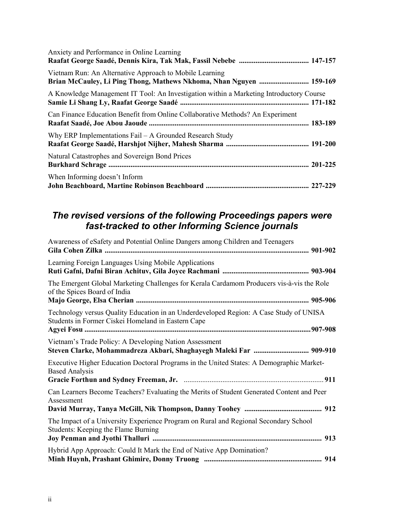| Anxiety and Performance in Online Learning                                                                                     |  |
|--------------------------------------------------------------------------------------------------------------------------------|--|
| Vietnam Run: An Alternative Approach to Mobile Learning<br>Brian McCauley, Li Ping Thong, Mathews Nkhoma, Nhan Nguyen  159-169 |  |
| A Knowledge Management IT Tool: An Investigation within a Marketing Introductory Course                                        |  |
| Can Finance Education Benefit from Online Collaborative Methods? An Experiment                                                 |  |
| Why ERP Implementations $Fall - A$ Grounded Research Study                                                                     |  |
| Natural Catastrophes and Sovereign Bond Prices                                                                                 |  |
| When Informing doesn't Inform                                                                                                  |  |

## *The revised versions of the following Proceedings papers were fast-tracked to other Informing Science journals*

| Awareness of eSafety and Potential Online Dangers among Children and Teenagers                                                               |  |
|----------------------------------------------------------------------------------------------------------------------------------------------|--|
| Learning Foreign Languages Using Mobile Applications                                                                                         |  |
| The Emergent Global Marketing Challenges for Kerala Cardamom Producers vis-à-vis the Role<br>of the Spices Board of India                    |  |
| Technology versus Quality Education in an Underdeveloped Region: A Case Study of UNISA<br>Students in Former Ciskei Homeland in Eastern Cape |  |
| Vietnam's Trade Policy: A Developing Nation Assessment<br>Steven Clarke, Mohammadreza Akbari, Shaghayegh Maleki Far  909-910                 |  |
| Executive Higher Education Doctoral Programs in the United States: A Demographic Market-<br><b>Based Analysis</b>                            |  |
| Can Learners Become Teachers? Evaluating the Merits of Student Generated Content and Peer<br>Assessment                                      |  |
| The Impact of a University Experience Program on Rural and Regional Secondary School<br>Students: Keeping the Flame Burning                  |  |
| Hybrid App Approach: Could It Mark the End of Native App Domination?                                                                         |  |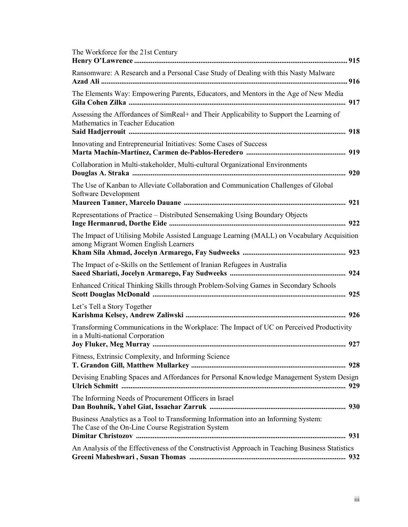| The Workforce for the 21st Century                                                                                                       |
|------------------------------------------------------------------------------------------------------------------------------------------|
| Ransomware: A Research and a Personal Case Study of Dealing with this Nasty Malware                                                      |
| The Elements Way: Empowering Parents, Educators, and Mentors in the Age of New Media                                                     |
| Assessing the Affordances of SimReal+ and Their Applicability to Support the Learning of<br>Mathematics in Teacher Education             |
| Innovating and Entrepreneurial Initiatives: Some Cases of Success                                                                        |
| Collaboration in Multi-stakeholder, Multi-cultural Organizational Environments                                                           |
| The Use of Kanban to Alleviate Collaboration and Communication Challenges of Global<br>Software Development                              |
| Representations of Practice - Distributed Sensemaking Using Boundary Objects                                                             |
| The Impact of Utilising Mobile Assisted Language Learning (MALL) on Vocabulary Acquisition<br>among Migrant Women English Learners       |
| The Impact of e-Skills on the Settlement of Iranian Refugees in Australia                                                                |
| Enhanced Critical Thinking Skills through Problem-Solving Games in Secondary Schools                                                     |
| Let's Tell a Story Together                                                                                                              |
| Transforming Communications in the Workplace: The Impact of UC on Perceived Productivity<br>in a Multi-national Corporation              |
| Fitness, Extrinsic Complexity, and Informing Science                                                                                     |
| Devising Enabling Spaces and Affordances for Personal Knowledge Management System Design                                                 |
| The Informing Needs of Procurement Officers in Israel                                                                                    |
| Business Analytics as a Tool to Transforming Information into an Informing System:<br>The Case of the On-Line Course Registration System |
| An Analysis of the Effectiveness of the Constructivist Approach in Teaching Business Statistics                                          |